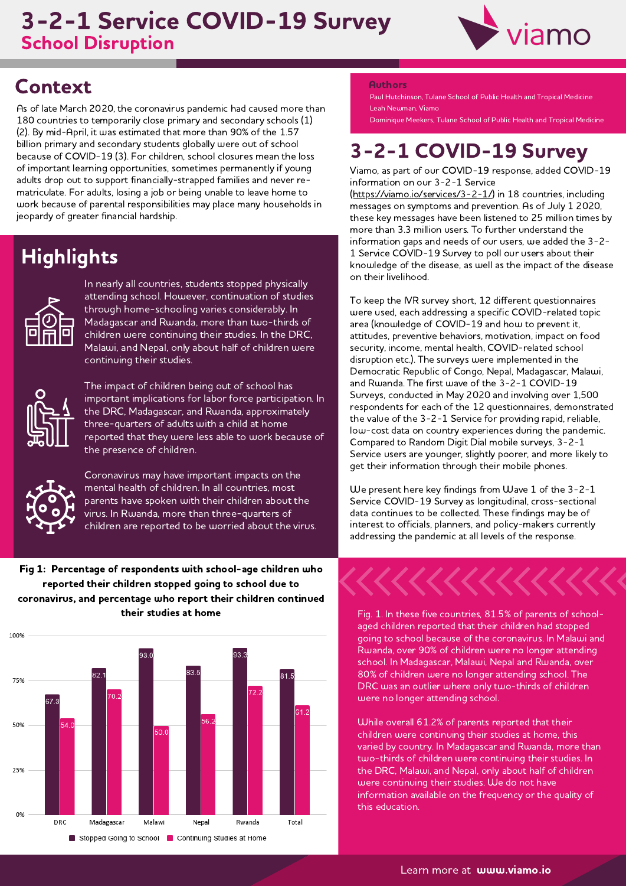### **School Disruption** 3-2-1 Service COVID-19 Survey



## **Context**

As of late March 2020, the coronavirus pandemic had caused more than 180 countries to temporarily close primary and secondary schools (1) (2). By mid-April, it was estimated that more than 90% of the 1.57 billion primary and secondary students globally were out of school because of COVID-19 (3). For children, school closures mean the loss of important learning opportunities, sometimes permanently if young adults drop out to support financially-strapped families and never rematriculate. For adults, losing a job or being unable to leave home to work because of parental responsibilities may place many households in jeopardy of greater financial hardship.

# **Highlights**



In nearly all countries, students stopped physically attending school. However, continuation of studies through home-schooling varies considerably. In Madagascar and Rwanda, more than two-thirds of children were continuing their studies. In the DRC,<br>Malawi, and Nepal, only about half of children were continuing their studies.



The impact of children being out of school has important implications for labor force participation. In the DRC, Madagascar, and Rwanda, approximately three-quarters of adults with a child at home reported that they were less able to work because of the presence of children.



Coronavirus may have important impacts on the mental health of children. In all countries, most parents have spoken with their children about the virus. In Rwanda, more than three-quarters of children are reported to be worried about the virus.

Fig 1: Percentage of respondents with school-age children who reported their children stopped going to school due to coronavirus, and percentage who report their children continued their studies at home



#### **Authors**

Paul Hutchinson, Tulane School of Public Health and Tropical Medicine Leah Newman, Viamo

Dominique Meekers, Tulane School of Public Health and Tropical Medicine

# 3-2-1 COVID-19 Survey

Viamo, as part of our COVID-19 response, added COVID-19 information on our 3-2-1 Service [\(https://viamo.io/services/3-2-1/\)](https://viamo.io/services/3-2-1/) in 18 countries, including

messages on symptoms and prevention. As of July 1 2020, these key messages have been listened to 25 million times by more than 3.3 million users. To further understand the information gaps and needs of our users, we added the 3-2- 1 Service COVID-19 Survey to poll our users about their knowledge of the disease, as well as the impact of the disease on their livelihood.

To keep the IVR survey short, 12 different questionnaires were used, each addressing a specific COVID-related topic area (knowledge of COVID-19 and how to prevent it, attitudes, preventive behaviors, motivation, impact on food security, income, mental health, COVID-related school disruption etc.). The surveys were implemented in the Democratic Republic of Congo, Nepal, Madagascar, Malawi, and Rwanda. The first wave of the 3-2-1 COVID-19 Surveys, conducted in May 2020 and involving over 1,500 respondents for each of the 12 questionnaires, demonstrated the value of the 3-2-1 Service for providing rapid, reliable, low-cost data on country experiences during the pandemic. Compared to Random Digit Dial mobile surveys, 3-2-1 Service users are younger, slightly poorer, and more likely to get their information through their mobile phones.

We present here key findings from Wave 1 of the 3-2-1 Service COVID-19 Survey as longitudinal, cross-sectional data continues to be collected. These findings may be of interest to officials, planners, and policy-makers currently addressing the pandemic at all levels of the response.



Fig. 1. In these five countries, 81.5% of parents of schoolaged children reported that their children had stopped going to school because of the coronavirus. In Malawi and Rwanda, over 90% of children were no longer attending school. In Madagascar, Malawi, Nepal and Rwanda, over 80% of children were no longer attending school. The DRC was an outlier where only two-thirds of children were no longer attending school.

While overall 61.2% of parents reported that their children were continuing their studies at home, this varied by country. In Madagascar and Rwanda, more than two-thirds of children were continuing their studies. In the DRC, Malawi, and Nepal, only about half of children were continuing their studies. We do not have information available on the frequency or the quality of this education.